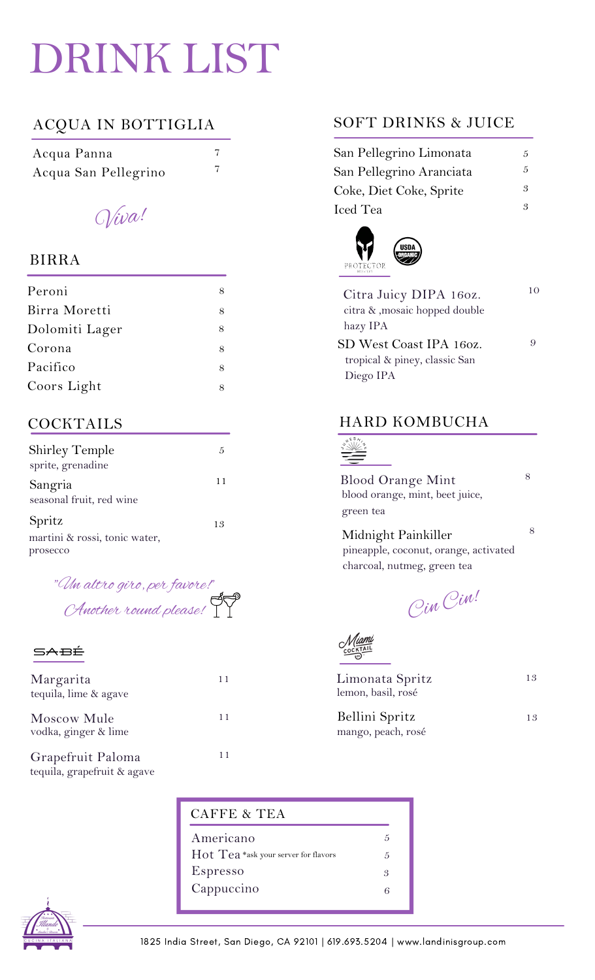# DRINK LIST

## ACQUA IN BOTTIGLIA

| Acqua Panna          |  |
|----------------------|--|
| Acqua San Pellegrino |  |

Viva!

### BIRRA

| Peroni         |   |
|----------------|---|
| Birra Moretti  |   |
| Dolomiti Lager | 8 |
| Corona         | 8 |
| Pacifico       | 8 |
| Coors Light    |   |

## COCKTAILS

| <b>Shirley Temple</b><br>sprite, grenadine |    |
|--------------------------------------------|----|
| Sangria<br>seasonal fruit, red wine        | 11 |
| Spritz                                     | 13 |
| martini & rossi, tonic water,              |    |

prosecco

"Un altro giro, per favore!" Another round please!

#### **SABÉ**

| Margarita<br>tequila, lime & agave  |    |  |
|-------------------------------------|----|--|
| Moscow Mule<br>vodka, ginger & lime | 11 |  |
| Grapefruit Paloma                   |    |  |

tequila, grapefruit & agave

### PROTECTOR

Iced Tea

| Citra Juicy DIPA 160z.         |  |
|--------------------------------|--|
| citra & , mosaic hopped double |  |
| hazy IPA                       |  |
| SD West Coast IPA 160z.        |  |
| tropical & piney, classic San  |  |
| Diego IPA                      |  |

SOFT DRINKS & JUICE

San Pellegrino Limonata San Pellegrino Aranciata

Coke, Diet Coke, Sprite

lisn

#### HARD KOMBUCHA

#### $\frac{1}{2}$ Ξ

Blood Orange Mint blood orange, mint, beet juice, green tea

pineapple, coconut, orange, activated charcoal, nutmeg, green tea Midnight Painkiller

Cin Cin!

| Limonata Spritz    | 13 |
|--------------------|----|
| lemon, basil, rosé |    |
|                    |    |

mango, peach, rosé Bellini Spritz

8

8

5 5

3 3

13

| CAFFE & TEA                          |   |
|--------------------------------------|---|
| Americano                            | 5 |
| Hot Tea *ask your server for flavors | 5 |
| Espresso                             | 3 |
| Cappuccino                           | 6 |